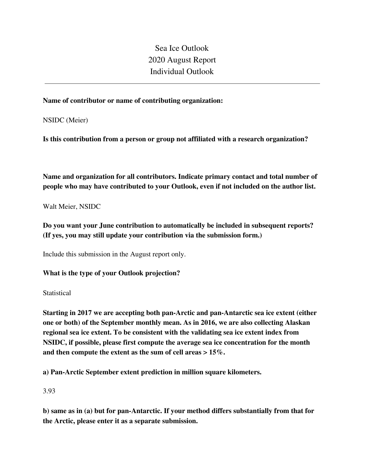Sea Ice Outlook 2020 August Report Individual Outlook

### **Name of contributor or name of contributing organization:**

NSIDC (Meier)

**Is this contribution from a person or group not affiliated with a research organization?** 

**Name and organization for all contributors. Indicate primary contact and total number of people who may have contributed to your Outlook, even if not included on the author list.**

Walt Meier, NSIDC

**Do you want your June contribution to automatically be included in subsequent reports? (If yes, you may still update your contribution via the submission form.)**

Include this submission in the August report only.

**What is the type of your Outlook projection?** 

**Statistical** 

**Starting in 2017 we are accepting both pan-Arctic and pan-Antarctic sea ice extent (either one or both) of the September monthly mean. As in 2016, we are also collecting Alaskan regional sea ice extent. To be consistent with the validating sea ice extent index from NSIDC, if possible, please first compute the average sea ice concentration for the month and then compute the extent as the sum of cell areas > 15%.**

**a) Pan-Arctic September extent prediction in million square kilometers.**

3.93

**b) same as in (a) but for pan-Antarctic. If your method differs substantially from that for the Arctic, please enter it as a separate submission.**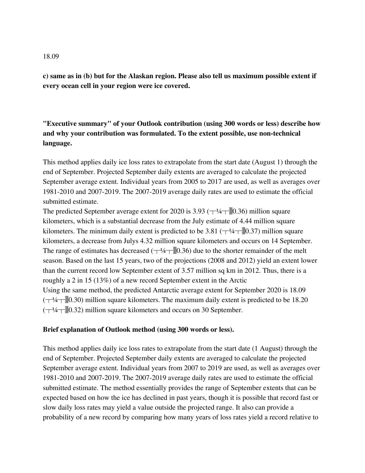## **c) same as in (b) but for the Alaskan region. Please also tell us maximum possible extent if every ocean cell in your region were ice covered.**

# **"Executive summary" of your Outlook contribution (using 300 words or less) describe how and why your contribution was formulated. To the extent possible, use non-technical language.**

This method applies daily ice loss rates to extrapolate from the start date (August 1) through the end of September. Projected September daily extents are averaged to calculate the projected September average extent. Individual years from 2005 to 2017 are used, as well as averages over 1981-2010 and 2007-2019. The 2007-2019 average daily rates are used to estimate the official submitted estimate.

The predicted September average extent for 2020 is 3.93 ( $\pm$ 1/4 $\pm$ )0.36) million square kilometers, which is a substantial decrease from the July estimate of 4.44 million square kilometers. The minimum daily extent is predicted to be 3.81 ( $\pm$ 1/4 $\pm$ )[0.37) million square kilometers, a decrease from Julys 4.32 million square kilometers and occurs on 14 September. The range of estimates has decreased  $(\pm 4\pm 0.36)$  due to the shorter remainder of the melt season. Based on the last 15 years, two of the projections (2008 and 2012) yield an extent lower than the current record low September extent of 3.57 million sq km in 2012. Thus, there is a roughly a 2 in 15 (13%) of a new record September extent in the Arctic Using the same method, the predicted Antarctic average extent for September 2020 is 18.09  $(\pm 4\pm 0.30)$  million square kilometers. The maximum daily extent is predicted to be 18.20  $(\pm 4\pm 0.32)$  million square kilometers and occurs on 30 September.

### **Brief explanation of Outlook method (using 300 words or less).**

This method applies daily ice loss rates to extrapolate from the start date (1 August) through the end of September. Projected September daily extents are averaged to calculate the projected September average extent. Individual years from 2007 to 2019 are used, as well as averages over 1981-2010 and 2007-2019. The 2007-2019 average daily rates are used to estimate the official submitted estimate. The method essentially provides the range of September extents that can be expected based on how the ice has declined in past years, though it is possible that record fast or slow daily loss rates may yield a value outside the projected range. It also can provide a probability of a new record by comparing how many years of loss rates yield a record relative to

#### 18.09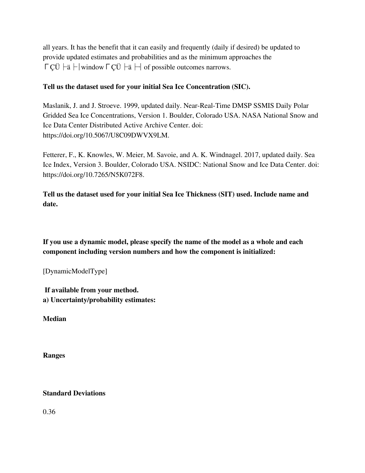all years. It has the benefit that it can easily and frequently (daily if desired) be updated to provide updated estimates and probabilities and as the minimum approaches the ΓÇÜ  $\div$ ä  $\div$ | window ΓÇÜ  $\div$ ä  $\div$ | of possible outcomes narrows.

### **Tell us the dataset used for your initial Sea Ice Concentration (SIC).**

Maslanik, J. and J. Stroeve. 1999, updated daily. Near-Real-Time DMSP SSMIS Daily Polar Gridded Sea Ice Concentrations, Version 1. Boulder, Colorado USA. NASA National Snow and Ice Data Center Distributed Active Archive Center. doi: https://doi.org/10.5067/U8C09DWVX9LM.

Fetterer, F., K. Knowles, W. Meier, M. Savoie, and A. K. Windnagel. 2017, updated daily. Sea Ice Index, Version 3. Boulder, Colorado USA. NSIDC: National Snow and Ice Data Center. doi: https://doi.org/10.7265/N5K072F8.

**Tell us the dataset used for your initial Sea Ice Thickness (SIT) used. Include name and date.**

**If you use a dynamic model, please specify the name of the model as a whole and each component including version numbers and how the component is initialized:**

[DynamicModelType]

**If available from your method. a) Uncertainty/probability estimates:**

**Median**

**Ranges**

### **Standard Deviations**

0.36